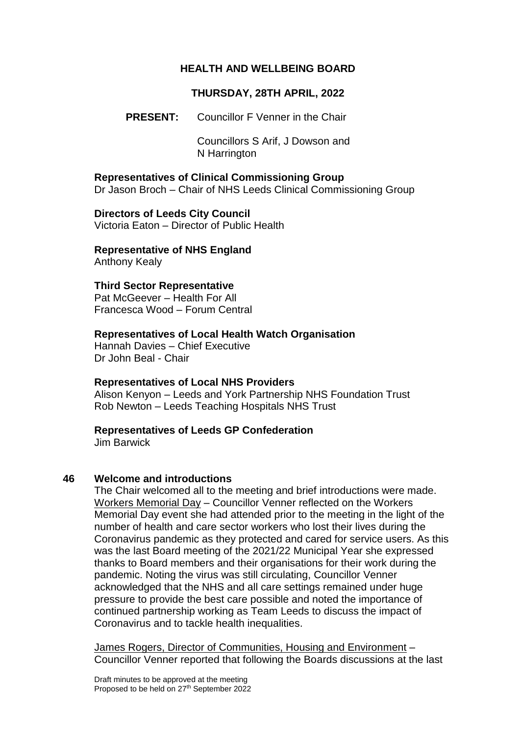### **HEALTH AND WELLBEING BOARD**

## **THURSDAY, 28TH APRIL, 2022**

**PRESENT:** Councillor F Venner in the Chair

Councillors S Arif, J Dowson and N Harrington

**Representatives of Clinical Commissioning Group** Dr Jason Broch – Chair of NHS Leeds Clinical Commissioning Group

**Directors of Leeds City Council** Victoria Eaton – Director of Public Health

**Representative of NHS England**

Anthony Kealy

## **Third Sector Representative**

Pat McGeever – Health For All Francesca Wood – Forum Central

## **Representatives of Local Health Watch Organisation**

Hannah Davies – Chief Executive Dr John Beal - Chair

### **Representatives of Local NHS Providers**

Alison Kenyon – Leeds and York Partnership NHS Foundation Trust Rob Newton – Leeds Teaching Hospitals NHS Trust

### **Representatives of Leeds GP Confederation**

Jim Barwick

### **46 Welcome and introductions**

The Chair welcomed all to the meeting and brief introductions were made. Workers Memorial Day – Councillor Venner reflected on the Workers Memorial Day event she had attended prior to the meeting in the light of the number of health and care sector workers who lost their lives during the Coronavirus pandemic as they protected and cared for service users. As this was the last Board meeting of the 2021/22 Municipal Year she expressed thanks to Board members and their organisations for their work during the pandemic. Noting the virus was still circulating, Councillor Venner acknowledged that the NHS and all care settings remained under huge pressure to provide the best care possible and noted the importance of continued partnership working as Team Leeds to discuss the impact of Coronavirus and to tackle health inequalities.

James Rogers, Director of Communities, Housing and Environment – Councillor Venner reported that following the Boards discussions at the last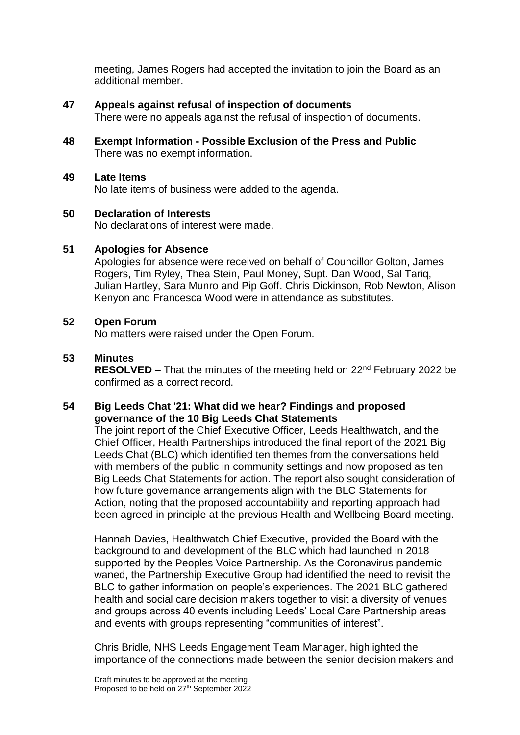meeting, James Rogers had accepted the invitation to join the Board as an additional member.

### **47 Appeals against refusal of inspection of documents**

There were no appeals against the refusal of inspection of documents.

**48 Exempt Information - Possible Exclusion of the Press and Public** There was no exempt information.

#### **49 Late Items**

No late items of business were added to the agenda.

### **50 Declaration of Interests**

No declarations of interest were made.

### **51 Apologies for Absence**

Apologies for absence were received on behalf of Councillor Golton, James Rogers, Tim Ryley, Thea Stein, Paul Money, Supt. Dan Wood, Sal Tariq, Julian Hartley, Sara Munro and Pip Goff. Chris Dickinson, Rob Newton, Alison Kenyon and Francesca Wood were in attendance as substitutes.

### **52 Open Forum**

No matters were raised under the Open Forum.

## **53 Minutes**

**RESOLVED** – That the minutes of the meeting held on 22<sup>nd</sup> February 2022 be confirmed as a correct record.

## **54 Big Leeds Chat '21: What did we hear? Findings and proposed governance of the 10 Big Leeds Chat Statements**

The joint report of the Chief Executive Officer, Leeds Healthwatch, and the Chief Officer, Health Partnerships introduced the final report of the 2021 Big Leeds Chat (BLC) which identified ten themes from the conversations held with members of the public in community settings and now proposed as ten Big Leeds Chat Statements for action. The report also sought consideration of how future governance arrangements align with the BLC Statements for Action, noting that the proposed accountability and reporting approach had been agreed in principle at the previous Health and Wellbeing Board meeting.

Hannah Davies, Healthwatch Chief Executive, provided the Board with the background to and development of the BLC which had launched in 2018 supported by the Peoples Voice Partnership. As the Coronavirus pandemic waned, the Partnership Executive Group had identified the need to revisit the BLC to gather information on people's experiences. The 2021 BLC gathered health and social care decision makers together to visit a diversity of venues and groups across 40 events including Leeds' Local Care Partnership areas and events with groups representing "communities of interest".

Chris Bridle, NHS Leeds Engagement Team Manager, highlighted the importance of the connections made between the senior decision makers and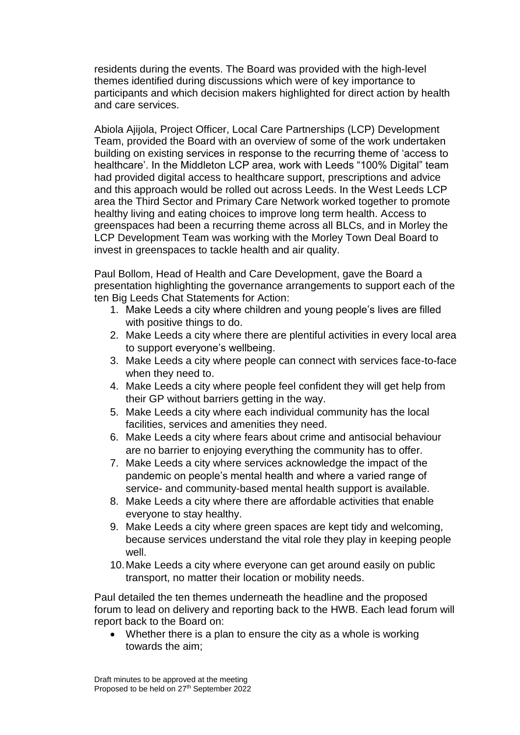residents during the events. The Board was provided with the high-level themes identified during discussions which were of key importance to participants and which decision makers highlighted for direct action by health and care services.

Abiola Ajijola, Project Officer, Local Care Partnerships (LCP) Development Team, provided the Board with an overview of some of the work undertaken building on existing services in response to the recurring theme of 'access to healthcare'. In the Middleton LCP area, work with Leeds "100% Digital" team had provided digital access to healthcare support, prescriptions and advice and this approach would be rolled out across Leeds. In the West Leeds LCP area the Third Sector and Primary Care Network worked together to promote healthy living and eating choices to improve long term health. Access to greenspaces had been a recurring theme across all BLCs, and in Morley the LCP Development Team was working with the Morley Town Deal Board to invest in greenspaces to tackle health and air quality.

Paul Bollom, Head of Health and Care Development, gave the Board a presentation highlighting the governance arrangements to support each of the ten Big Leeds Chat Statements for Action:

- 1. Make Leeds a city where children and young people's lives are filled with positive things to do.
- 2. Make Leeds a city where there are plentiful activities in every local area to support everyone's wellbeing.
- 3. Make Leeds a city where people can connect with services face-to-face when they need to.
- 4. Make Leeds a city where people feel confident they will get help from their GP without barriers getting in the way.
- 5. Make Leeds a city where each individual community has the local facilities, services and amenities they need.
- 6. Make Leeds a city where fears about crime and antisocial behaviour are no barrier to enjoying everything the community has to offer.
- 7. Make Leeds a city where services acknowledge the impact of the pandemic on people's mental health and where a varied range of service- and community-based mental health support is available.
- 8. Make Leeds a city where there are affordable activities that enable everyone to stay healthy.
- 9. Make Leeds a city where green spaces are kept tidy and welcoming, because services understand the vital role they play in keeping people well.
- 10.Make Leeds a city where everyone can get around easily on public transport, no matter their location or mobility needs.

Paul detailed the ten themes underneath the headline and the proposed forum to lead on delivery and reporting back to the HWB. Each lead forum will report back to the Board on:

• Whether there is a plan to ensure the city as a whole is working towards the aim;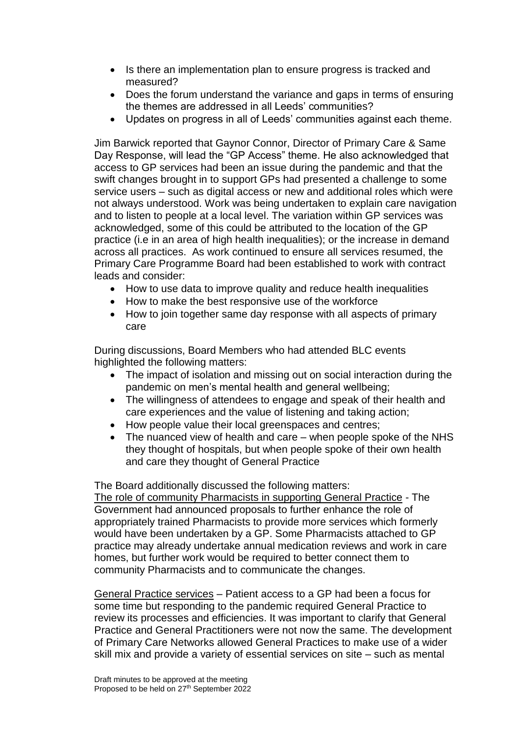- Is there an implementation plan to ensure progress is tracked and measured?
- Does the forum understand the variance and gaps in terms of ensuring the themes are addressed in all Leeds' communities?
- Updates on progress in all of Leeds' communities against each theme.

Jim Barwick reported that Gaynor Connor, Director of Primary Care & Same Day Response, will lead the "GP Access" theme. He also acknowledged that access to GP services had been an issue during the pandemic and that the swift changes brought in to support GPs had presented a challenge to some service users – such as digital access or new and additional roles which were not always understood. Work was being undertaken to explain care navigation and to listen to people at a local level. The variation within GP services was acknowledged, some of this could be attributed to the location of the GP practice (i.e in an area of high health inequalities); or the increase in demand across all practices. As work continued to ensure all services resumed, the Primary Care Programme Board had been established to work with contract leads and consider:

- How to use data to improve quality and reduce health inequalities
- How to make the best responsive use of the workforce
- How to join together same day response with all aspects of primary care

During discussions, Board Members who had attended BLC events highlighted the following matters:

- The impact of isolation and missing out on social interaction during the pandemic on men's mental health and general wellbeing;
- The willingness of attendees to engage and speak of their health and care experiences and the value of listening and taking action;
- How people value their local greenspaces and centres;
- The nuanced view of health and care when people spoke of the NHS they thought of hospitals, but when people spoke of their own health and care they thought of General Practice

The Board additionally discussed the following matters:

The role of community Pharmacists in supporting General Practice - The Government had announced proposals to further enhance the role of appropriately trained Pharmacists to provide more services which formerly would have been undertaken by a GP. Some Pharmacists attached to GP practice may already undertake annual medication reviews and work in care homes, but further work would be required to better connect them to community Pharmacists and to communicate the changes.

General Practice services – Patient access to a GP had been a focus for some time but responding to the pandemic required General Practice to review its processes and efficiencies. It was important to clarify that General Practice and General Practitioners were not now the same. The development of Primary Care Networks allowed General Practices to make use of a wider skill mix and provide a variety of essential services on site – such as mental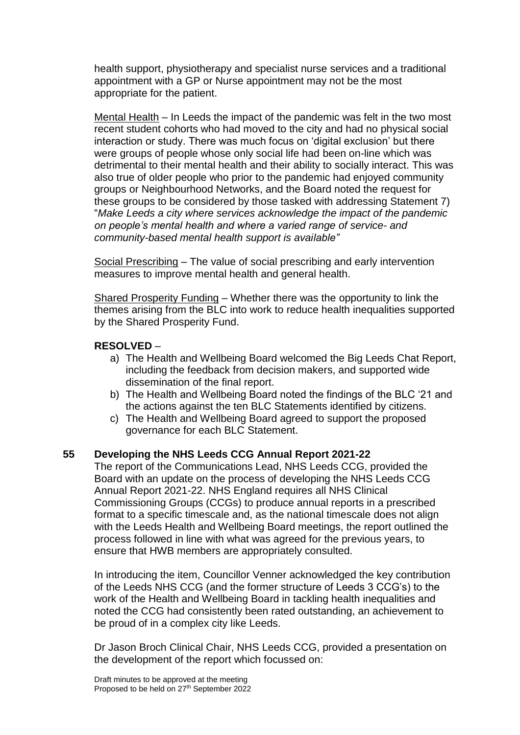health support, physiotherapy and specialist nurse services and a traditional appointment with a GP or Nurse appointment may not be the most appropriate for the patient.

Mental Health – In Leeds the impact of the pandemic was felt in the two most recent student cohorts who had moved to the city and had no physical social interaction or study. There was much focus on 'digital exclusion' but there were groups of people whose only social life had been on-line which was detrimental to their mental health and their ability to socially interact. This was also true of older people who prior to the pandemic had enjoyed community groups or Neighbourhood Networks, and the Board noted the request for these groups to be considered by those tasked with addressing Statement 7) "*Make Leeds a city where services acknowledge the impact of the pandemic on people's mental health and where a varied range of service- and community-based mental health support is available"*

Social Prescribing – The value of social prescribing and early intervention measures to improve mental health and general health.

Shared Prosperity Funding – Whether there was the opportunity to link the themes arising from the BLC into work to reduce health inequalities supported by the Shared Prosperity Fund.

#### **RESOLVED** –

- a) The Health and Wellbeing Board welcomed the Big Leeds Chat Report, including the feedback from decision makers, and supported wide dissemination of the final report.
- b) The Health and Wellbeing Board noted the findings of the BLC '21 and the actions against the ten BLC Statements identified by citizens.
- c) The Health and Wellbeing Board agreed to support the proposed governance for each BLC Statement.

#### **55 Developing the NHS Leeds CCG Annual Report 2021-22**

The report of the Communications Lead, NHS Leeds CCG, provided the Board with an update on the process of developing the NHS Leeds CCG Annual Report 2021-22. NHS England requires all NHS Clinical Commissioning Groups (CCGs) to produce annual reports in a prescribed format to a specific timescale and, as the national timescale does not align with the Leeds Health and Wellbeing Board meetings, the report outlined the process followed in line with what was agreed for the previous years, to ensure that HWB members are appropriately consulted.

In introducing the item, Councillor Venner acknowledged the key contribution of the Leeds NHS CCG (and the former structure of Leeds 3 CCG's) to the work of the Health and Wellbeing Board in tackling health inequalities and noted the CCG had consistently been rated outstanding, an achievement to be proud of in a complex city like Leeds.

Dr Jason Broch Clinical Chair, NHS Leeds CCG, provided a presentation on the development of the report which focussed on: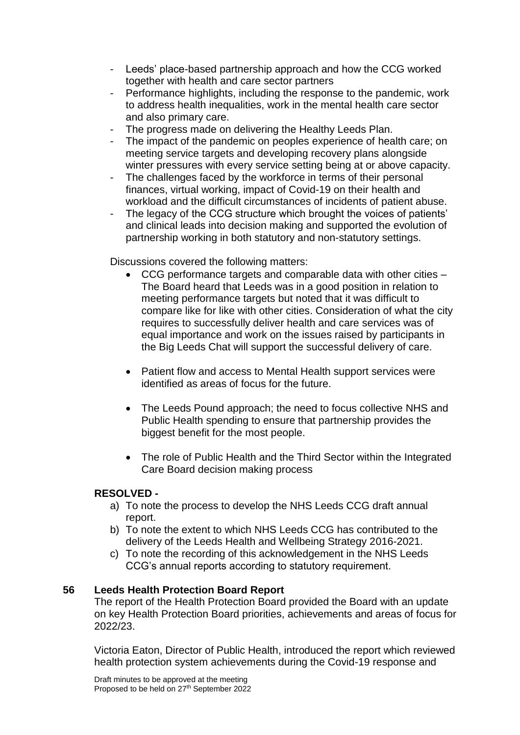- Leeds' place-based partnership approach and how the CCG worked together with health and care sector partners
- Performance highlights, including the response to the pandemic, work to address health inequalities, work in the mental health care sector and also primary care.
- The progress made on delivering the Healthy Leeds Plan.
- The impact of the pandemic on peoples experience of health care; on meeting service targets and developing recovery plans alongside winter pressures with every service setting being at or above capacity.
- The challenges faced by the workforce in terms of their personal finances, virtual working, impact of Covid-19 on their health and workload and the difficult circumstances of incidents of patient abuse.
- The legacy of the CCG structure which brought the voices of patients' and clinical leads into decision making and supported the evolution of partnership working in both statutory and non-statutory settings.

Discussions covered the following matters:

- CCG performance targets and comparable data with other cities The Board heard that Leeds was in a good position in relation to meeting performance targets but noted that it was difficult to compare like for like with other cities. Consideration of what the city requires to successfully deliver health and care services was of equal importance and work on the issues raised by participants in the Big Leeds Chat will support the successful delivery of care.
- Patient flow and access to Mental Health support services were identified as areas of focus for the future.
- The Leeds Pound approach: the need to focus collective NHS and Public Health spending to ensure that partnership provides the biggest benefit for the most people.
- The role of Public Health and the Third Sector within the Integrated Care Board decision making process

### **RESOLVED -**

- a) To note the process to develop the NHS Leeds CCG draft annual report.
- b) To note the extent to which NHS Leeds CCG has contributed to the delivery of the Leeds Health and Wellbeing Strategy 2016-2021.
- c) To note the recording of this acknowledgement in the NHS Leeds CCG's annual reports according to statutory requirement.

### **56 Leeds Health Protection Board Report**

The report of the Health Protection Board provided the Board with an update on key Health Protection Board priorities, achievements and areas of focus for 2022/23.

Victoria Eaton, Director of Public Health, introduced the report which reviewed health protection system achievements during the Covid-19 response and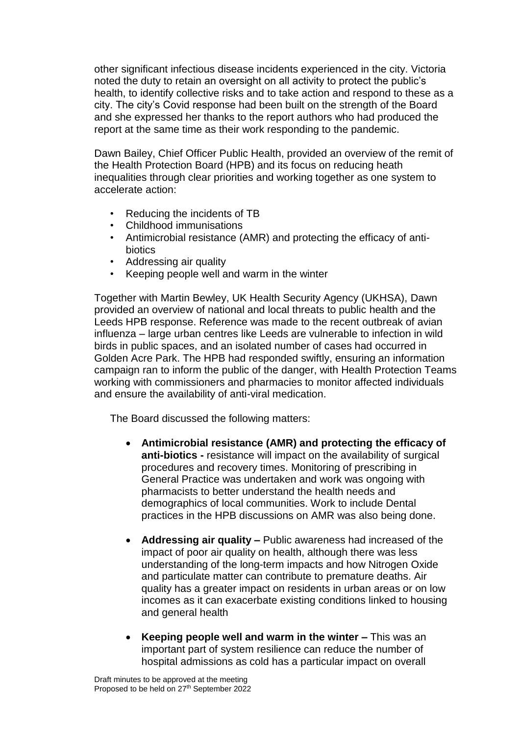other significant infectious disease incidents experienced in the city. Victoria noted the duty to retain an oversight on all activity to protect the public's health, to identify collective risks and to take action and respond to these as a city. The city's Covid response had been built on the strength of the Board and she expressed her thanks to the report authors who had produced the report at the same time as their work responding to the pandemic.

Dawn Bailey, Chief Officer Public Health, provided an overview of the remit of the Health Protection Board (HPB) and its focus on reducing heath inequalities through clear priorities and working together as one system to accelerate action:

- Reducing the incidents of TB
- Childhood immunisations
- Antimicrobial resistance (AMR) and protecting the efficacy of antibiotics
- Addressing air quality
- Keeping people well and warm in the winter

Together with Martin Bewley, UK Health Security Agency (UKHSA), Dawn provided an overview of national and local threats to public health and the Leeds HPB response. Reference was made to the recent outbreak of avian influenza – large urban centres like Leeds are vulnerable to infection in wild birds in public spaces, and an isolated number of cases had occurred in Golden Acre Park. The HPB had responded swiftly, ensuring an information campaign ran to inform the public of the danger, with Health Protection Teams working with commissioners and pharmacies to monitor affected individuals and ensure the availability of anti-viral medication.

The Board discussed the following matters:

- **Antimicrobial resistance (AMR) and protecting the efficacy of anti-biotics -** resistance will impact on the availability of surgical procedures and recovery times. Monitoring of prescribing in General Practice was undertaken and work was ongoing with pharmacists to better understand the health needs and demographics of local communities. Work to include Dental practices in the HPB discussions on AMR was also being done.
- **Addressing air quality –** Public awareness had increased of the impact of poor air quality on health, although there was less understanding of the long-term impacts and how Nitrogen Oxide and particulate matter can contribute to premature deaths. Air quality has a greater impact on residents in urban areas or on low incomes as it can exacerbate existing conditions linked to housing and general health
- **Keeping people well and warm in the winter –** This was an important part of system resilience can reduce the number of hospital admissions as cold has a particular impact on overall